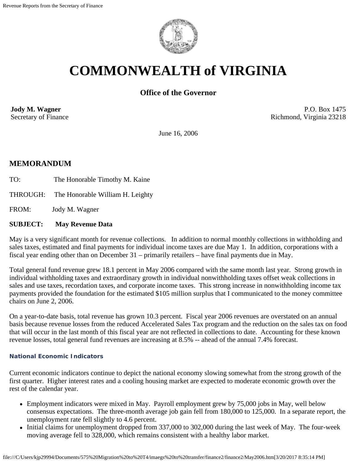

# **COMMONWEALTH of VIRGINIA**

# **Office of the Governor**

**Jody M. Wagner**  Secretary of Finance

P.O. Box 1475 Richmond, Virginia 23218

June 16, 2006

# **MEMORANDUM**

- TO: The Honorable Timothy M. Kaine
- THROUGH: The Honorable William H. Leighty

FROM: Jody M. Wagner

## **SUBJECT: May Revenue Data**

May is a very significant month for revenue collections. In addition to normal monthly collections in withholding and sales taxes, estimated and final payments for individual income taxes are due May 1. In addition, corporations with a fiscal year ending other than on December 31 – primarily retailers – have final payments due in May.

Total general fund revenue grew 18.1 percent in May 2006 compared with the same month last year. Strong growth in individual withholding taxes and extraordinary growth in individual nonwithholding taxes offset weak collections in sales and use taxes, recordation taxes, and corporate income taxes. This strong increase in nonwithholding income tax payments provided the foundation for the estimated \$105 million surplus that I communicated to the money committee chairs on June 2, 2006.

On a year-to-date basis, total revenue has grown 10.3 percent. Fiscal year 2006 revenues are overstated on an annual basis because revenue losses from the reduced Accelerated Sales Tax program and the reduction on the sales tax on food that will occur in the last month of this fiscal year are not reflected in collections to date. Accounting for these known revenue losses, total general fund revenues are increasing at 8.5% -- ahead of the annual 7.4% forecast.

#### **National Economic Indicators**

Current economic indicators continue to depict the national economy slowing somewhat from the strong growth of the first quarter. Higher interest rates and a cooling housing market are expected to moderate economic growth over the rest of the calendar year.

- Employment indicators were mixed in May. Payroll employment grew by 75,000 jobs in May, well below consensus expectations. The three-month average job gain fell from 180,000 to 125,000. In a separate report, the unemployment rate fell slightly to 4.6 percent.
- Initial claims for unemployment dropped from 337,000 to 302,000 during the last week of May. The four-week moving average fell to 328,000, which remains consistent with a healthy labor market.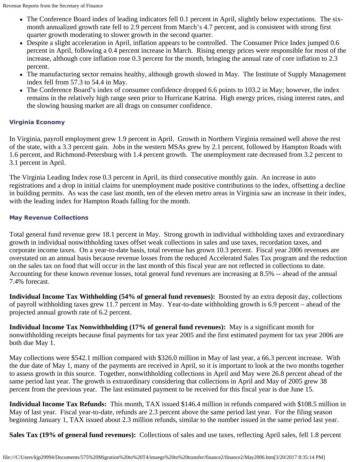- The Conference Board index of leading indicators fell 0.1 percent in April, slightly below expectations. The sixmonth annualized growth rate fell to 2.9 percent from March's 4.7 percent, and is consistent with strong first quarter growth moderating to slower growth in the second quarter.
- Despite a slight acceleration in April, inflation appears to be controlled. The Consumer Price Index jumped 0.6 percent in April, following a 0.4 percent increase in March. Rising energy prices were responsible for most of the increase, although core inflation rose 0.3 percent for the month, bringing the annual rate of core inflation to 2.3 percent.
- The manufacturing sector remains healthy, although growth slowed in May. The Institute of Supply Management index fell from 57.3 to 54.4 in May.
- The Conference Board's index of consumer confidence dropped 6.6 points to 103.2 in May; however, the index remains in the relatively high range seen prior to Hurricane Katrina. High energy prices, rising interest rates, and the slowing housing market are all drags on consumer confidence.

## **Virginia Economy**

In Virginia, payroll employment grew 1.9 percent in April. Growth in Northern Virginia remained well above the rest of the state, with a 3.3 percent gain. Jobs in the western MSAs grew by 2.1 percent, followed by Hampton Roads with 1.6 percent, and Richmond-Petersburg with 1.4 percent growth. The unemployment rate decreased from 3.2 percent to 3.1 percent in April.

The Virginia Leading Index rose 0.3 percent in April, its third consecutive monthly gain. An increase in auto registrations and a drop in initial claims for unemployment made positive contributions to the index, offsetting a decline in building permits. As was the case last month, ten of the eleven metro areas in Virginia saw an increase in their index, with the leading index for Hampton Roads falling for the month.

## **May Revenue Collections**

Total general fund revenue grew 18.1 percent in May. Strong growth in individual withholding taxes and extraordinary growth in individual nonwithholding taxes offset weak collections in sales and use taxes, recordation taxes, and corporate income taxes. On a year-to-date basis, total revenue has grown 10.3 percent. Fiscal year 2006 revenues are overstated on an annual basis because revenue losses from the reduced Accelerated Sales Tax program and the reduction on the sales tax on food that will occur in the last month of this fiscal year are not reflected in collections to date. Accounting for these known revenue losses, total general fund revenues are increasing at 8.5% -- ahead of the annual 7.4% forecast.

**Individual Income Tax Withholding (54% of general fund revenues):** Boosted by an extra deposit day, collections of payroll withholding taxes grew 11.7 percent in May. Year-to-date withholding growth is 6.9 percent – ahead of the projected annual growth rate of 6.2 percent.

**Individual Income Tax Nonwithholding (17% of general fund revenues):** May is a significant month for nonwithholding receipts because final payments for tax year 2005 and the first estimated payment for tax year 2006 are both due May 1.

May collections were \$542.1 million compared with \$326.0 million in May of last year, a 66.3 percent increase. With the due date of May 1, many of the payments are received in April, so it is important to look at the two months together to assess growth in this source. Together, nonwithholding collections in April and May were 26.8 percent ahead of the same period last year. The growth is extraordinary considering that collections in April and May of 2005 grew 38 percent from the previous year. The last estimated payment to be received for this fiscal year is due June 15.

**Individual Income Tax Refunds:** This month, TAX issued \$146.4 million in refunds compared with \$108.5 million in May of last year. Fiscal year-to-date, refunds are 2.3 percent above the same period last year. For the filing season beginning January 1, TAX issued about 2.3 million refunds, similar to the number issued in the same period last year.

**Sales Tax (19% of general fund revenues):** Collections of sales and use taxes, reflecting April sales, fell 1.8 percent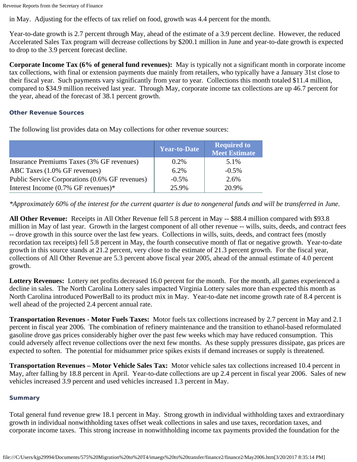Revenue Reports from the Secretary of Finance

in May. Adjusting for the effects of tax relief on food, growth was 4.4 percent for the month.

Year-to-date growth is 2.7 percent through May, ahead of the estimate of a 3.9 percent decline. However, the reduced Accelerated Sales Tax program will decrease collections by \$200.1 million in June and year-to-date growth is expected to drop to the 3.9 percent forecast decline.

**Corporate Income Tax (6% of general fund revenues):** May is typically not a significant month in corporate income tax collections, with final or extension payments due mainly from retailers, who typically have a January 31st close to their fiscal year. Such payments vary significantly from year to year. Collections this month totaled \$11.4 million, compared to \$34.9 million received last year. Through May, corporate income tax collections are up 46.7 percent for the year, ahead of the forecast of 38.1 percent growth.

#### **Other Revenue Sources**

The following list provides data on May collections for other revenue sources:

|                                                | <b>Year-to-Date</b> | <b>Required to</b><br><b>Meet Estimate</b> |
|------------------------------------------------|---------------------|--------------------------------------------|
| Insurance Premiums Taxes (3% GF revenues)      | $0.2\%$             | 5.1%                                       |
| ABC Taxes (1.0% GF revenues)                   | 6.2%                | $-0.5\%$                                   |
| Public Service Corporations (0.6% GF revenues) | $-0.5%$             | 2.6%                                       |
| Interest Income $(0.7\%$ GF revenues)*         | 25.9%               | 20.9%                                      |

*\*Approximately 60% of the interest for the current quarter is due to nongeneral funds and will be transferred in June.*

**All Other Revenue:** Receipts in All Other Revenue fell 5.8 percent in May -- \$88.4 million compared with \$93.8 million in May of last year. Growth in the largest component of all other revenue -- wills, suits, deeds, and contract fees -- drove growth in this source over the last few years. Collections in wills, suits, deeds, and contract fees (mostly recordation tax receipts) fell 5.8 percent in May, the fourth consecutive month of flat or negative growth. Year-to-date growth in this source stands at 21.2 percent, very close to the estimate of 21.3 percent growth. For the fiscal year, collections of All Other Revenue are 5.3 percent above fiscal year 2005, ahead of the annual estimate of 4.0 percent growth.

**Lottery Revenues:** Lottery net profits decreased 16.0 percent for the month. For the month, all games experienced a decline in sales. The North Carolina Lottery sales impacted Virginia Lottery sales more than expected this month as North Carolina introduced PowerBall to its product mix in May. Year-to-date net income growth rate of 8.4 percent is well ahead of the projected 2.4 percent annual rate.

**Transportation Revenues - Motor Fuels Taxes:** Motor fuels tax collections increased by 2.7 percent in May and 2.1 percent in fiscal year 2006. The combination of refinery maintenance and the transition to ethanol-based reformulated gasoline drove gas prices considerably higher over the past few weeks which may have reduced consumption. This could adversely affect revenue collections over the next few months. As these supply pressures dissipate, gas prices are expected to soften. The potential for midsummer price spikes exists if demand increases or supply is threatened.

**Transportation Revenues – Motor Vehicle Sales Tax:** Motor vehicle sales tax collections increased 10.4 percent in May, after falling by 18.8 percent in April. Year-to-date collections are up 2.4 percent in fiscal year 2006. Sales of new vehicles increased 3.9 percent and used vehicles increased 1.3 percent in May.

#### **Summary**

Total general fund revenue grew 18.1 percent in May. Strong growth in individual withholding taxes and extraordinary growth in individual nonwithholding taxes offset weak collections in sales and use taxes, recordation taxes, and corporate income taxes. This strong increase in nonwithholding income tax payments provided the foundation for the